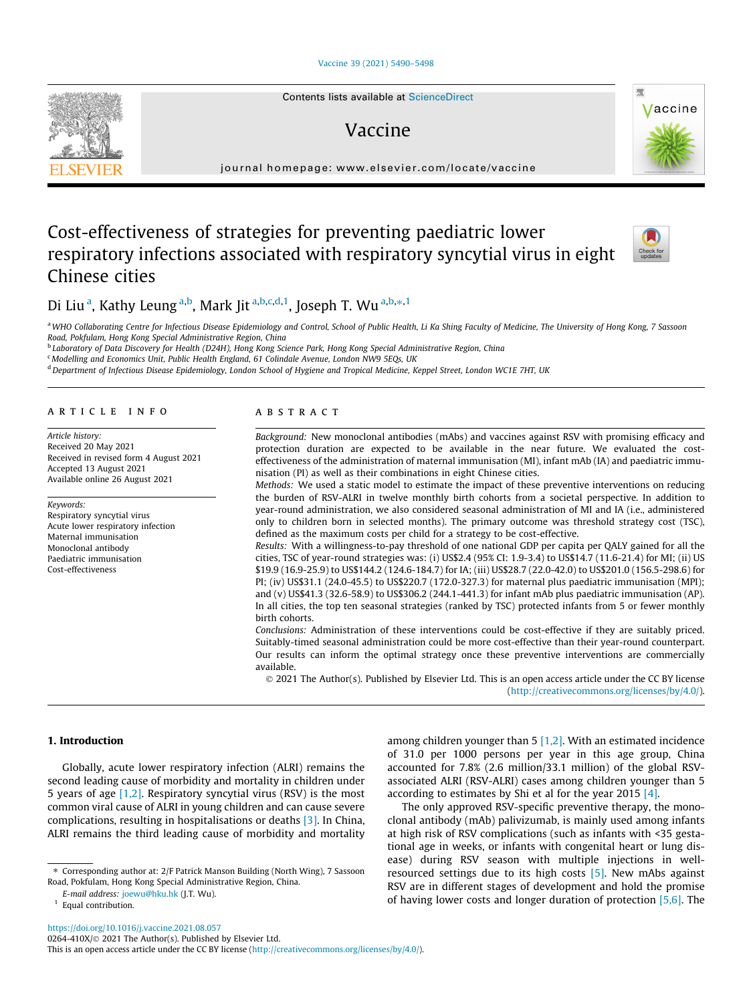#### [Vaccine 39 \(2021\) 5490–5498](https://doi.org/10.1016/j.vaccine.2021.08.057)

# Vaccine

journal homepage: [www.elsevier.com/locate/vaccine](http://www.elsevier.com/locate/vaccine)

# Cost-effectiveness of strategies for preventing paediatric lower respiratory infections associated with respiratory syncytial virus in eight Chinese cities

# Di Liu<sup>a</sup>, Kathy Leung<sup>a,b</sup>, Mark Jit<sup>a,b,c,d,1</sup>, Joseph T. Wu<sup>a,b, $\ast$ ,1</sup>

a WHO Collaborating Centre for Infectious Disease Epidemiology and Control, School of Public Health, Li Ka Shing Faculty of Medicine, The University of Hong Kong, 7 Sassoon Road, Pokfulam, Hong Kong Special Administrative Region, China

**b Laboratory of Data Discovery for Health (D24H), Hong Kong Science Park, Hong Kong Special Administrative Region, China** 

<sup>c</sup> Modelling and Economics Unit, Public Health England, 61 Colindale Avenue, London NW9 5EQs, UK

<sup>d</sup> Department of Infectious Disease Epidemiology, London School of Hygiene and Tropical Medicine, Keppel Street, London WC1E 7HT, UK

## article info

Article history: Received 20 May 2021 Received in revised form 4 August 2021 Accepted 13 August 2021 Available online 26 August 2021

Keywords: Respiratory syncytial virus Acute lower respiratory infection Maternal immunisation Monoclonal antibody Paediatric immunisation Cost-effectiveness

# **ABSTRACT**

Background: New monoclonal antibodies (mAbs) and vaccines against RSV with promising efficacy and protection duration are expected to be available in the near future. We evaluated the costeffectiveness of the administration of maternal immunisation (MI), infant mAb (IA) and paediatric immunisation (PI) as well as their combinations in eight Chinese cities.

Methods: We used a static model to estimate the impact of these preventive interventions on reducing the burden of RSV-ALRI in twelve monthly birth cohorts from a societal perspective. In addition to year-round administration, we also considered seasonal administration of MI and IA (i.e., administered only to children born in selected months). The primary outcome was threshold strategy cost (TSC), defined as the maximum costs per child for a strategy to be cost-effective.

Results: With a willingness-to-pay threshold of one national GDP per capita per QALY gained for all the cities, TSC of year-round strategies was: (i) US\$2.4 (95% CI: 1.9-3.4) to US\$14.7 (11.6-21.4) for MI; (ii) US \$19.9 (16.9-25.9) to US\$144.2 (124.6-184.7) for IA; (iii) US\$28.7 (22.0-42.0) to US\$201.0 (156.5-298.6) for PI; (iv) US\$31.1 (24.0-45.5) to US\$220.7 (172.0-327.3) for maternal plus paediatric immunisation (MPI); and (v) US\$41.3 (32.6-58.9) to US\$306.2 (244.1-441.3) for infant mAb plus paediatric immunisation (AP). In all cities, the top ten seasonal strategies (ranked by TSC) protected infants from 5 or fewer monthly birth cohorts.

Conclusions: Administration of these interventions could be cost-effective if they are suitably priced. Suitably-timed seasonal administration could be more cost-effective than their year-round counterpart. Our results can inform the optimal strategy once these preventive interventions are commercially available.

 2021 The Author(s). Published by Elsevier Ltd. This is an open access article under the CC BY license [\(http://creativecommons.org/licenses/by/4.0/](http://creativecommons.org/licenses/by/4.0/)).

## 1. Introduction

Globally, acute lower respiratory infection (ALRI) remains the second leading cause of morbidity and mortality in children under 5 years of age [\[1,2\].](#page-8-0) Respiratory syncytial virus (RSV) is the most common viral cause of ALRI in young children and can cause severe complications, resulting in hospitalisations or deaths [\[3\].](#page-8-0) In China, ALRI remains the third leading cause of morbidity and mortality

<https://doi.org/10.1016/j.vaccine.2021.08.057> 0264-410X/ $\odot$  2021 The Author(s). Published by Elsevier Ltd.

This is an open access article under the CC BY license ([http://creativecommons.org/licenses/by/4.0/\)](http://creativecommons.org/licenses/by/4.0/).







The only approved RSV-specific preventive therapy, the monoclonal antibody (mAb) palivizumab, is mainly used among infants at high risk of RSV complications (such as infants with <35 gestational age in weeks, or infants with congenital heart or lung disease) during RSV season with multiple injections in wellresourced settings due to its high costs [\[5\]](#page-8-0). New mAbs against RSV are in different stages of development and hold the promise of having lower costs and longer duration of protection [\[5,6\]](#page-8-0). The

<sup>⇑</sup> Corresponding author at: 2/F Patrick Manson Building (North Wing), 7 Sassoon Road, Pokfulam, Hong Kong Special Administrative Region, China.

E-mail address: [joewu@hku.hk](mailto:joewu@hku.hk) (J.T. Wu).

<sup>&</sup>lt;sup>1</sup> Equal contribution.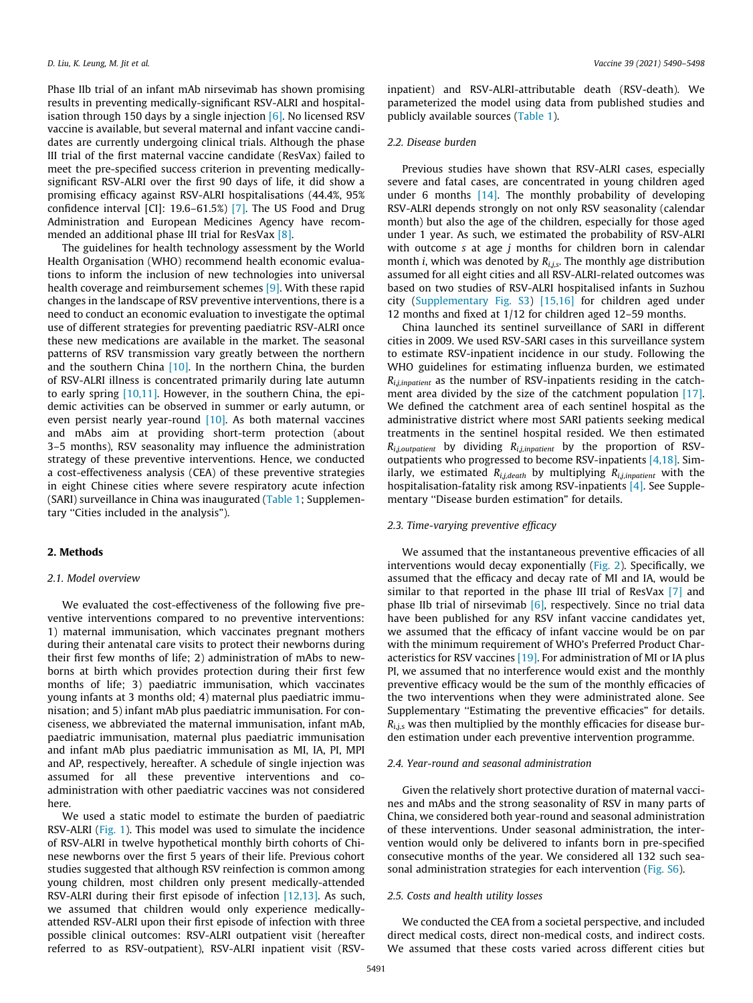Phase IIb trial of an infant mAb nirsevimab has shown promising results in preventing medically-significant RSV-ALRI and hospitalisation through 150 days by a single injection [\[6\]](#page-8-0). No licensed RSV vaccine is available, but several maternal and infant vaccine candidates are currently undergoing clinical trials. Although the phase III trial of the first maternal vaccine candidate (ResVax) failed to meet the pre-specified success criterion in preventing medicallysignificant RSV-ALRI over the first 90 days of life, it did show a promising efficacy against RSV-ALRI hospitalisations (44.4%, 95% confidence interval [CI]: 19.6–61.5%) [\[7\]](#page-8-0). The US Food and Drug Administration and European Medicines Agency have recommended an additional phase III trial for ResVax [\[8\].](#page-8-0)

The guidelines for health technology assessment by the World Health Organisation (WHO) recommend health economic evaluations to inform the inclusion of new technologies into universal health coverage and reimbursement schemes [\[9\]](#page-8-0). With these rapid changes in the landscape of RSV preventive interventions, there is a need to conduct an economic evaluation to investigate the optimal use of different strategies for preventing paediatric RSV-ALRI once these new medications are available in the market. The seasonal patterns of RSV transmission vary greatly between the northern and the southern China [\[10\]](#page-8-0). In the northern China, the burden of RSV-ALRI illness is concentrated primarily during late autumn to early spring [\[10,11\]](#page-8-0). However, in the southern China, the epidemic activities can be observed in summer or early autumn, or even persist nearly year-round [\[10\]](#page-8-0). As both maternal vaccines and mAbs aim at providing short-term protection (about 3–5 months), RSV seasonality may influence the administration strategy of these preventive interventions. Hence, we conducted a cost-effectiveness analysis (CEA) of these preventive strategies in eight Chinese cities where severe respiratory acute infection (SARI) surveillance in China was inaugurated ([Table 1](#page-2-0); Supplementary "Cities included in the analysis").

## 2. Methods

#### 2.1. Model overview

We evaluated the cost-effectiveness of the following five preventive interventions compared to no preventive interventions: 1) maternal immunisation, which vaccinates pregnant mothers during their antenatal care visits to protect their newborns during their first few months of life; 2) administration of mAbs to newborns at birth which provides protection during their first few months of life; 3) paediatric immunisation, which vaccinates young infants at 3 months old; 4) maternal plus paediatric immunisation; and 5) infant mAb plus paediatric immunisation. For conciseness, we abbreviated the maternal immunisation, infant mAb, paediatric immunisation, maternal plus paediatric immunisation and infant mAb plus paediatric immunisation as MI, IA, PI, MPI and AP, respectively, hereafter. A schedule of single injection was assumed for all these preventive interventions and coadministration with other paediatric vaccines was not considered here.

We used a static model to estimate the burden of paediatric RSV-ALRI ([Fig. 1](#page-3-0)). This model was used to simulate the incidence of RSV-ALRI in twelve hypothetical monthly birth cohorts of Chinese newborns over the first 5 years of their life. Previous cohort studies suggested that although RSV reinfection is common among young children, most children only present medically-attended RSV-ALRI during their first episode of infection [\[12,13\]](#page-8-0). As such, we assumed that children would only experience medicallyattended RSV-ALRI upon their first episode of infection with three possible clinical outcomes: RSV-ALRI outpatient visit (hereafter referred to as RSV-outpatient), RSV-ALRI inpatient visit (RSV-

inpatient) and RSV-ALRI-attributable death (RSV-death). We parameterized the model using data from published studies and publicly available sources ([Table 1\)](#page-2-0).

### 2.2. Disease burden

Previous studies have shown that RSV-ALRI cases, especially severe and fatal cases, are concentrated in young children aged under 6 months [\[14\]](#page-8-0). The monthly probability of developing RSV-ALRI depends strongly on not only RSV seasonality (calendar month) but also the age of the children, especially for those aged under 1 year. As such, we estimated the probability of RSV-ALRI with outcome  $s$  at age  $j$  months for children born in calendar month *i*, which was denoted by  $R_{i,j,s}$ . The monthly age distribution assumed for all eight cities and all RSV-ALRI-related outcomes was based on two studies of RSV-ALRI hospitalised infants in Suzhou city (Supplementary Fig. S3) [\[15,16\]](#page-8-0) for children aged under 12 months and fixed at 1/12 for children aged 12–59 months.

China launched its sentinel surveillance of SARI in different cities in 2009. We used RSV-SARI cases in this surveillance system to estimate RSV-inpatient incidence in our study. Following the WHO guidelines for estimating influenza burden, we estimated  $R_{i,j,$ ment area divided by the size of the catchment population [\[17\].](#page-8-0) We defined the catchment area of each sentinel hospital as the administrative district where most SARI patients seeking medical treatments in the sentinel hospital resided. We then estimated  $R_{ij,outpatient}$  by dividing  $R_{ij,inpatient}$  by the proportion of RSVoutpatients who progressed to become RSV-inpatients [\[4,18\].](#page-8-0) Similarly, we estimated  $R_{i,j,\text{death}}$  by multiplying  $R_{i,j,\text{impact}}$  with the hospitalisation-fatality risk among RSV-inpatients [\[4\].](#page-8-0) See Supplementary ''Disease burden estimation" for details.

### 2.3. Time-varying preventive efficacy

We assumed that the instantaneous preventive efficacies of all interventions would decay exponentially ([Fig. 2\)](#page-3-0). Specifically, we assumed that the efficacy and decay rate of MI and IA, would be similar to that reported in the phase III trial of ResVax [\[7\]](#page-8-0) and phase IIb trial of nirsevimab  $[6]$ , respectively. Since no trial data have been published for any RSV infant vaccine candidates yet, we assumed that the efficacy of infant vaccine would be on par with the minimum requirement of WHO's Preferred Product Characteristics for RSV vaccines [\[19\].](#page-8-0) For administration of MI or IA plus PI, we assumed that no interference would exist and the monthly preventive efficacy would be the sum of the monthly efficacies of the two interventions when they were administrated alone. See Supplementary "Estimating the preventive efficacies" for details.  $R_{i,j,s}$  was then multiplied by the monthly efficacies for disease burden estimation under each preventive intervention programme.

#### 2.4. Year-round and seasonal administration

Given the relatively short protective duration of maternal vaccines and mAbs and the strong seasonality of RSV in many parts of China, we considered both year-round and seasonal administration of these interventions. Under seasonal administration, the intervention would only be delivered to infants born in pre-specified consecutive months of the year. We considered all 132 such seasonal administration strategies for each intervention (Fig. S6).

## 2.5. Costs and health utility losses

We conducted the CEA from a societal perspective, and included direct medical costs, direct non-medical costs, and indirect costs. We assumed that these costs varied across different cities but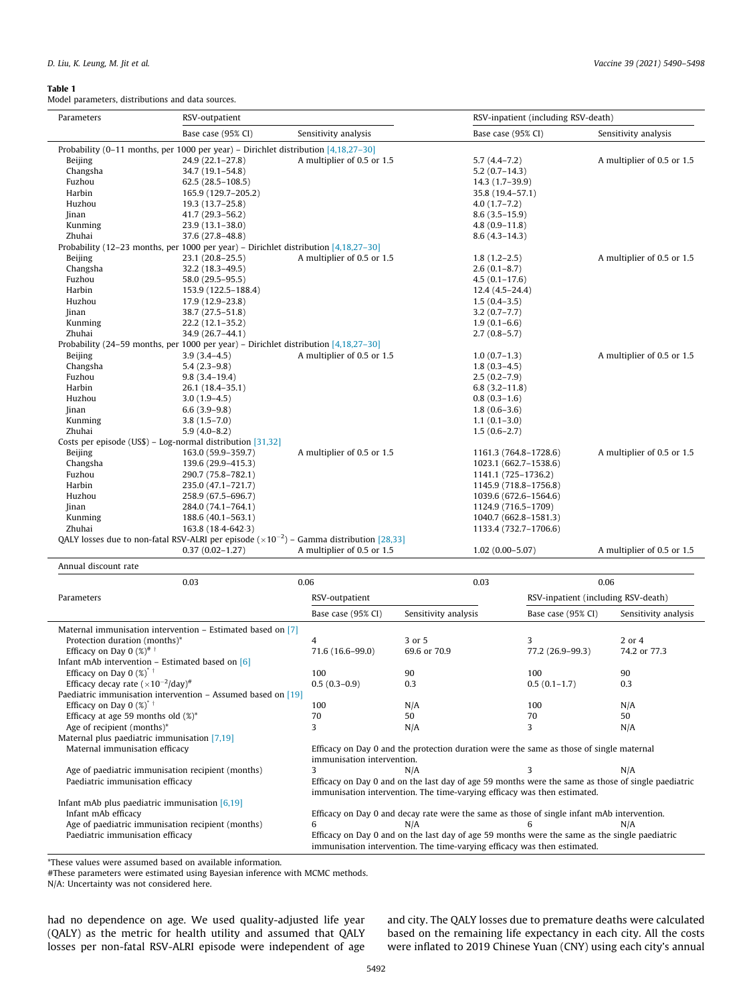#### <span id="page-2-0"></span>Table 1

Model parameters, distributions and data sources.

| Parameters                                                                                        | RSV-outpatient                                                                        |                            | RSV-inpatient (including RSV-death) |                            |  |  |  |  |
|---------------------------------------------------------------------------------------------------|---------------------------------------------------------------------------------------|----------------------------|-------------------------------------|----------------------------|--|--|--|--|
|                                                                                                   | Base case (95% CI)                                                                    | Sensitivity analysis       | Base case (95% CI)                  | Sensitivity analysis       |  |  |  |  |
| Probability (0-11 months, per 1000 per year) – Dirichlet distribution $[4,18,27-30]$              |                                                                                       |                            |                                     |                            |  |  |  |  |
| Beijing                                                                                           | $24.9(22.1 - 27.8)$                                                                   | A multiplier of 0.5 or 1.5 | $5.7(4.4-7.2)$                      | A multiplier of 0.5 or 1.5 |  |  |  |  |
| Changsha                                                                                          | 34.7 (19.1-54.8)                                                                      |                            | $5.2(0.7-14.3)$                     |                            |  |  |  |  |
| Fuzhou                                                                                            | $62.5(28.5 - 108.5)$                                                                  |                            | 14.3 (1.7-39.9)                     |                            |  |  |  |  |
| Harbin                                                                                            | 165.9 (129.7-205.2)                                                                   |                            | 35.8 (19.4-57.1)                    |                            |  |  |  |  |
| Huzhou                                                                                            | 19.3 (13.7-25.8)                                                                      |                            | $4.0(1.7-7.2)$                      |                            |  |  |  |  |
| <b>Jinan</b>                                                                                      | 41.7 (29.3-56.2)                                                                      |                            | $8.6(3.5-15.9)$                     |                            |  |  |  |  |
| Kunming                                                                                           | 23.9 (13.1-38.0)                                                                      |                            | $4.8(0.9 - 11.8)$                   |                            |  |  |  |  |
| Zhuhai                                                                                            | 37.6 (27.8-48.8)                                                                      |                            | $8.6(4.3-14.3)$                     |                            |  |  |  |  |
| Probability (12–23 months, per 1000 per year) – Dirichlet distribution $[4,18,27-30]$             |                                                                                       |                            |                                     |                            |  |  |  |  |
| Beijing                                                                                           | $23.1(20.8-25.5)$                                                                     | A multiplier of 0.5 or 1.5 | $1.8(1.2 - 2.5)$                    | A multiplier of 0.5 or 1.5 |  |  |  |  |
| Changsha                                                                                          | 32.2 (18.3-49.5)                                                                      |                            | $2.6(0.1-8.7)$                      |                            |  |  |  |  |
| Fuzhou                                                                                            | 58.0 (29.5-95.5)                                                                      |                            | $4.5(0.1 - 17.6)$                   |                            |  |  |  |  |
| Harbin                                                                                            | 153.9 (122.5-188.4)                                                                   |                            | $12.4(4.5-24.4)$                    |                            |  |  |  |  |
| Huzhou                                                                                            | 17.9 (12.9-23.8)                                                                      |                            | $1.5(0.4-3.5)$                      |                            |  |  |  |  |
| Jinan                                                                                             | 38.7 (27.5-51.8)                                                                      |                            | $3.2(0.7 - 7.7)$                    |                            |  |  |  |  |
| Kunming                                                                                           | 22.2 (12.1-35.2)                                                                      |                            | $1.9(0.1-6.6)$                      |                            |  |  |  |  |
| Zhuhai                                                                                            | 34.9 (26.7-44.1)                                                                      |                            | $2.7(0.8-5.7)$                      |                            |  |  |  |  |
|                                                                                                   | Probability (24–59 months, per 1000 per year) – Dirichlet distribution $[4,18,27-30]$ |                            |                                     |                            |  |  |  |  |
| Beijing                                                                                           | $3.9(3.4 - 4.5)$                                                                      | A multiplier of 0.5 or 1.5 | $1.0(0.7-1.3)$                      | A multiplier of 0.5 or 1.5 |  |  |  |  |
| Changsha                                                                                          | $5.4(2.3-9.8)$                                                                        |                            | $1.8(0.3-4.5)$                      |                            |  |  |  |  |
| Fuzhou                                                                                            | $9.8(3.4 - 19.4)$                                                                     |                            | $2.5(0.2 - 7.9)$                    |                            |  |  |  |  |
| Harbin                                                                                            | 26.1 (18.4-35.1)                                                                      |                            | $6.8(3.2 - 11.8)$                   |                            |  |  |  |  |
| Huzhou                                                                                            | $3.0(1.9-4.5)$                                                                        |                            | $0.8(0.3-1.6)$                      |                            |  |  |  |  |
| <b>Jinan</b>                                                                                      | $6.6(3.9-9.8)$                                                                        |                            | $1.8(0.6-3.6)$                      |                            |  |  |  |  |
| Kunming                                                                                           | $3.8(1.5 - 7.0)$                                                                      |                            | $1.1(0.1-3.0)$                      |                            |  |  |  |  |
| Zhuhai                                                                                            | $5.9(4.0 - 8.2)$                                                                      |                            | $1.5(0.6-2.7)$                      |                            |  |  |  |  |
| Costs per episode (US\$) - Log-normal distribution [31,32]                                        |                                                                                       |                            |                                     |                            |  |  |  |  |
| Beijing                                                                                           | 163.0 (59.9-359.7)                                                                    | A multiplier of 0.5 or 1.5 | 1161.3 (764.8-1728.6)               | A multiplier of 0.5 or 1.5 |  |  |  |  |
| Changsha                                                                                          | 139.6 (29.9-415.3)                                                                    |                            | 1023.1 (662.7-1538.6)               |                            |  |  |  |  |
| Fuzhou                                                                                            | 290.7 (75.8-782.1)                                                                    |                            | 1141.1 (725-1736.2)                 |                            |  |  |  |  |
| Harbin                                                                                            | 235.0 (47.1-721.7)                                                                    |                            | 1145.9 (718.8-1756.8)               |                            |  |  |  |  |
| Huzhou                                                                                            | 258.9 (67.5-696.7)                                                                    |                            | 1039.6 (672.6-1564.6)               |                            |  |  |  |  |
| Jinan                                                                                             | 284.0 (74.1-764.1)                                                                    |                            | 1124.9 (716.5-1709)                 |                            |  |  |  |  |
| Kunming                                                                                           | 188.6 (40.1-563.1)                                                                    |                            | 1040.7 (662.8-1581.3)               |                            |  |  |  |  |
| Zhuhai<br>163.8 (18.4-642.3)<br>1133.4 (732.7-1706.6)                                             |                                                                                       |                            |                                     |                            |  |  |  |  |
| QALY losses due to non-fatal RSV-ALRI per episode $(\times 10^{-2})$ – Gamma distribution [28,33] |                                                                                       |                            |                                     |                            |  |  |  |  |
|                                                                                                   | $0.37(0.02 - 1.27)$                                                                   | A multiplier of 0.5 or 1.5 | $1.02(0.00 - 5.07)$                 | A multiplier of 0.5 or 1.5 |  |  |  |  |

| 0.03                                                                                                                      | 0.06                                                                                                                                                                           | 0.03                                                                                       | 0.06                                |                      |  |
|---------------------------------------------------------------------------------------------------------------------------|--------------------------------------------------------------------------------------------------------------------------------------------------------------------------------|--------------------------------------------------------------------------------------------|-------------------------------------|----------------------|--|
| Parameters                                                                                                                | RSV-outpatient                                                                                                                                                                 |                                                                                            | RSV-inpatient (including RSV-death) |                      |  |
|                                                                                                                           | Base case (95% CI)                                                                                                                                                             | Sensitivity analysis                                                                       | Base case (95% CI)                  | Sensitivity analysis |  |
| Maternal immunisation intervention $-$ Estimated based on [7]                                                             |                                                                                                                                                                                |                                                                                            |                                     |                      |  |
| Protection duration (months)*                                                                                             | 4                                                                                                                                                                              | 3 or 5                                                                                     | 3                                   | $2$ or $4$           |  |
| Efficacy on Day 0 $(\%)^{\#}$ †                                                                                           | 71.6 (16.6-99.0)                                                                                                                                                               | 69.6 or 70.9                                                                               | 77.2 (26.9-99.3)                    | 74.2 or 77.3         |  |
| Infant mAb intervention $-$ Estimated based on [6]                                                                        |                                                                                                                                                                                |                                                                                            |                                     |                      |  |
| Efficacy on Day 0 $(\%)^{\dagger}$                                                                                        | 100                                                                                                                                                                            | 90                                                                                         | 100                                 | 90                   |  |
| Efficacy decay rate $(\times 10^{-2}/day)^{\#}$                                                                           | $0.5(0.3-0.9)$                                                                                                                                                                 | 0.3                                                                                        | $0.5(0.1-1.7)$                      | 0.3                  |  |
| Paediatric immunisation intervention – Assumed based on [19]                                                              |                                                                                                                                                                                |                                                                                            |                                     |                      |  |
| Efficacy on Day 0 $(\%)^{\dagger}$                                                                                        | 100                                                                                                                                                                            | N/A                                                                                        | 100                                 | N/A                  |  |
| Efficacy at age 59 months old $(\%)^*$                                                                                    | 70                                                                                                                                                                             | 50                                                                                         | 70                                  | 50                   |  |
| Age of recipient (months)*                                                                                                | 3                                                                                                                                                                              | N/A                                                                                        | 3                                   | N/A                  |  |
| Maternal plus paediatric immunisation [7,19]                                                                              |                                                                                                                                                                                |                                                                                            |                                     |                      |  |
| Maternal immunisation efficacy<br>Efficacy on Day 0 and the protection duration were the same as those of single maternal |                                                                                                                                                                                |                                                                                            |                                     |                      |  |
|                                                                                                                           | immunisation intervention.                                                                                                                                                     |                                                                                            |                                     |                      |  |
| Age of paediatric immunisation recipient (months)                                                                         | 3                                                                                                                                                                              | N/A                                                                                        |                                     | N/A                  |  |
| Paediatric immunisation efficacy                                                                                          | Efficacy on Day 0 and on the last day of age 59 months were the same as those of single paediatric<br>immunisation intervention. The time-varying efficacy was then estimated. |                                                                                            |                                     |                      |  |
| Infant mAb plus paediatric immunisation $[6,19]$                                                                          |                                                                                                                                                                                |                                                                                            |                                     |                      |  |
| Infant mAb efficacy                                                                                                       |                                                                                                                                                                                | Efficacy on Day 0 and decay rate were the same as those of single infant mAb intervention. |                                     |                      |  |
| Age of paediatric immunisation recipient (months)                                                                         | 6                                                                                                                                                                              | N/A                                                                                        | 6                                   | N/A                  |  |
| Paediatric immunisation efficacy                                                                                          | Efficacy on Day 0 and on the last day of age 59 months were the same as the single paediatric<br>immunisation intervention. The time-varying efficacy was then estimated.      |                                                                                            |                                     |                      |  |

\*These values were assumed based on available information.

#These parameters were estimated using Bayesian inference with MCMC methods.

N/A: Uncertainty was not considered here.

had no dependence on age. We used quality-adjusted life year (QALY) as the metric for health utility and assumed that QALY losses per non-fatal RSV-ALRI episode were independent of age and city. The QALY losses due to premature deaths were calculated based on the remaining life expectancy in each city. All the costs were inflated to 2019 Chinese Yuan (CNY) using each city's annual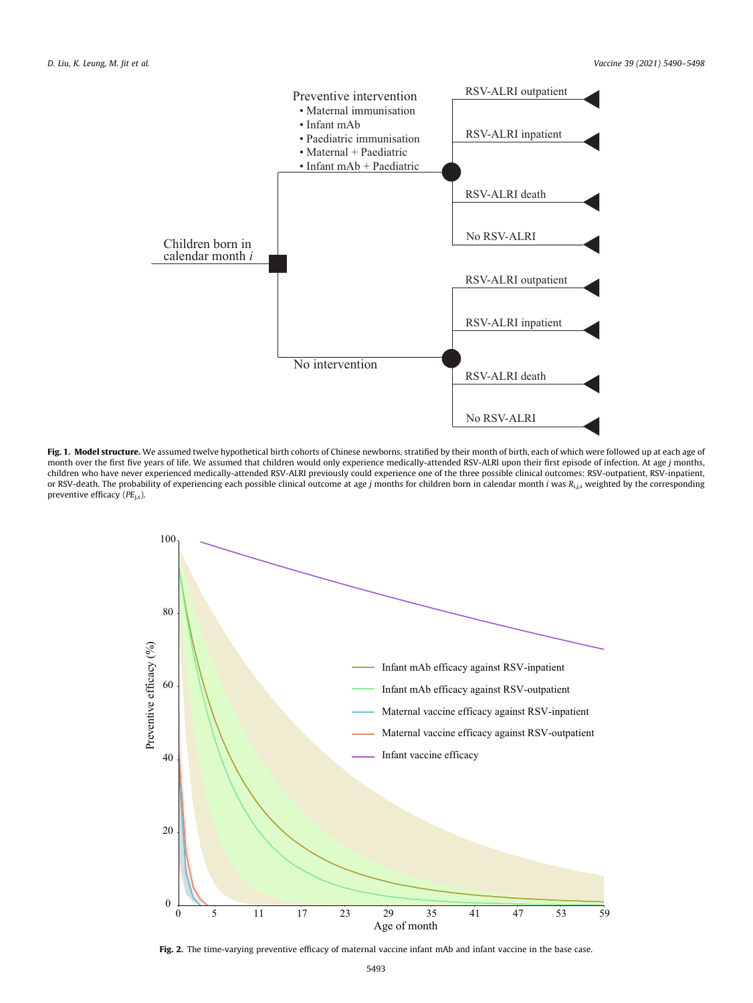<span id="page-3-0"></span>

Fig. 1. Model structure. We assumed twelve hypothetical birth cohorts of Chinese newborns, stratified by their month of birth, each of which were followed up at each age of month over the first five years of life. We assumed that children would only experience medically-attended RSV-ALRI upon their first episode of infection. At age j months, children who have never experienced medically-attended RSV-ALRI previously could experience one of the three possible clinical outcomes: RSV-outpatient, RSV-inpatient, or RSV-death. The probability of experiencing each possible clinical outcome at age j months for children born in calendar month i was  $R_{i,j,s}$  weighted by the corresponding preventive efficacy ( $PE$ <sub>i.s</sub>).



Fig. 2. The time-varying preventive efficacy of maternal vaccine infant mAb and infant vaccine in the base case.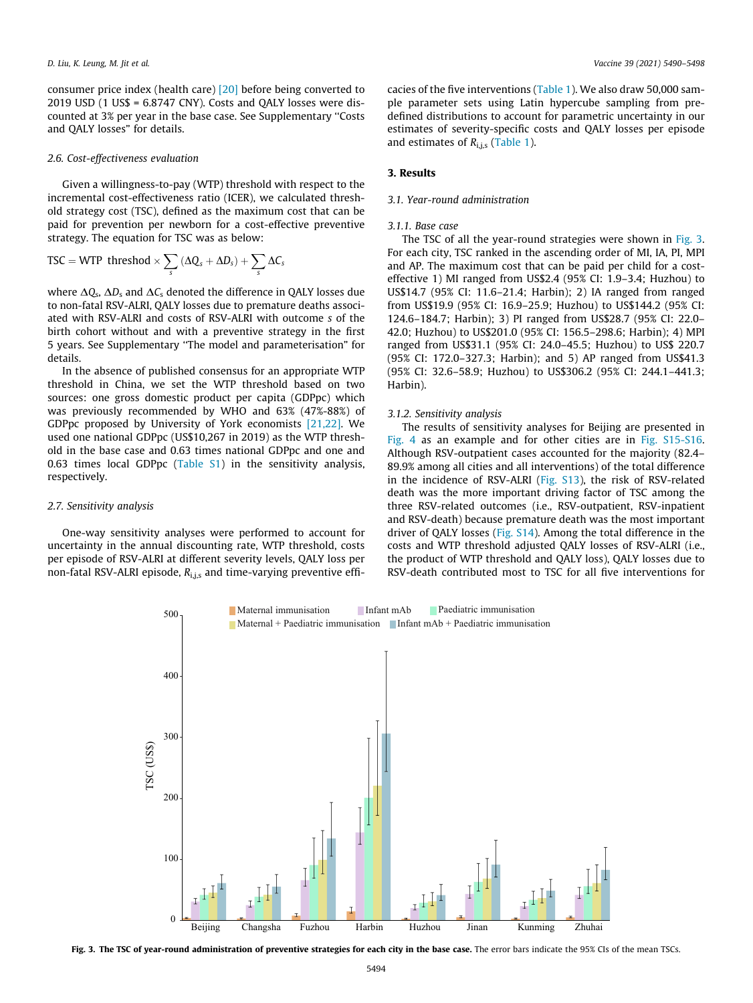consumer price index (health care) [\[20\]](#page-8-0) before being converted to 2019 USD (1 US\$ = 6.8747 CNY). Costs and QALY losses were discounted at 3% per year in the base case. See Supplementary ''Costs and QALY losses" for details.

#### 2.6. Cost-effectiveness evaluation

Given a willingness-to-pay (WTP) threshold with respect to the incremental cost-effectiveness ratio (ICER), we calculated threshold strategy cost (TSC), defined as the maximum cost that can be paid for prevention per newborn for a cost-effective preventive strategy. The equation for TSC was as below:

$$
TSC = WTP threshold \times \sum_{s} (\Delta Q_s + \Delta D_s) + \sum_{s} \Delta C_s
$$

where  $\Delta Q_s$ ,  $\Delta D_s$  and  $\Delta C_s$  denoted the difference in QALY losses due to non-fatal RSV-ALRI, QALY losses due to premature deaths associated with RSV-ALRI and costs of RSV-ALRI with outcome s of the birth cohort without and with a preventive strategy in the first 5 years. See Supplementary ''The model and parameterisation" for details.

In the absence of published consensus for an appropriate WTP threshold in China, we set the WTP threshold based on two sources: one gross domestic product per capita (GDPpc) which was previously recommended by WHO and 63% (47%-88%) of GDPpc proposed by University of York economists [\[21,22\].](#page-8-0) We used one national GDPpc (US\$10,267 in 2019) as the WTP threshold in the base case and 0.63 times national GDPpc and one and 0.63 times local GDPpc (Table S1) in the sensitivity analysis, respectively.

#### 2.7. Sensitivity analysis

One-way sensitivity analyses were performed to account for uncertainty in the annual discounting rate, WTP threshold, costs per episode of RSV-ALRI at different severity levels, QALY loss per non-fatal RSV-ALRI episode,  $R_{i,j,s}$  and time-varying preventive efficacies of the five interventions [\(Table 1](#page-2-0)). We also draw 50,000 sample parameter sets using Latin hypercube sampling from predefined distributions to account for parametric uncertainty in our estimates of severity-specific costs and QALY losses per episode and estimates of  $R_{i,j,s}$  ([Table 1](#page-2-0)).

#### 3. Results

#### 3.1. Year-round administration

#### 3.1.1. Base case

The TSC of all the year-round strategies were shown in Fig. 3. For each city, TSC ranked in the ascending order of MI, IA, PI, MPI and AP. The maximum cost that can be paid per child for a costeffective 1) MI ranged from US\$2.4 (95% CI: 1.9–3.4; Huzhou) to US\$14.7 (95% CI: 11.6–21.4; Harbin); 2) IA ranged from ranged from US\$19.9 (95% CI: 16.9–25.9; Huzhou) to US\$144.2 (95% CI: 124.6–184.7; Harbin); 3) PI ranged from US\$28.7 (95% CI: 22.0– 42.0; Huzhou) to US\$201.0 (95% CI: 156.5–298.6; Harbin); 4) MPI ranged from US\$31.1 (95% CI: 24.0–45.5; Huzhou) to US\$ 220.7 (95% CI: 172.0–327.3; Harbin); and 5) AP ranged from US\$41.3 (95% CI: 32.6–58.9; Huzhou) to US\$306.2 (95% CI: 244.1–441.3; Harbin).

#### 3.1.2. Sensitivity analysis

The results of sensitivity analyses for Beijing are presented in [Fig. 4](#page-5-0) as an example and for other cities are in Fig. S15-S16. Although RSV-outpatient cases accounted for the majority (82.4– 89.9% among all cities and all interventions) of the total difference in the incidence of RSV-ALRI (Fig. S13), the risk of RSV-related death was the more important driving factor of TSC among the three RSV-related outcomes (i.e., RSV-outpatient, RSV-inpatient and RSV-death) because premature death was the most important driver of QALY losses (Fig. S14). Among the total difference in the costs and WTP threshold adjusted QALY losses of RSV-ALRI (i.e., the product of WTP threshold and QALY loss), QALY losses due to RSV-death contributed most to TSC for all five interventions for



Fig. 3. The TSC of year-round administration of preventive strategies for each city in the base case. The error bars indicate the 95% CIs of the mean TSCs.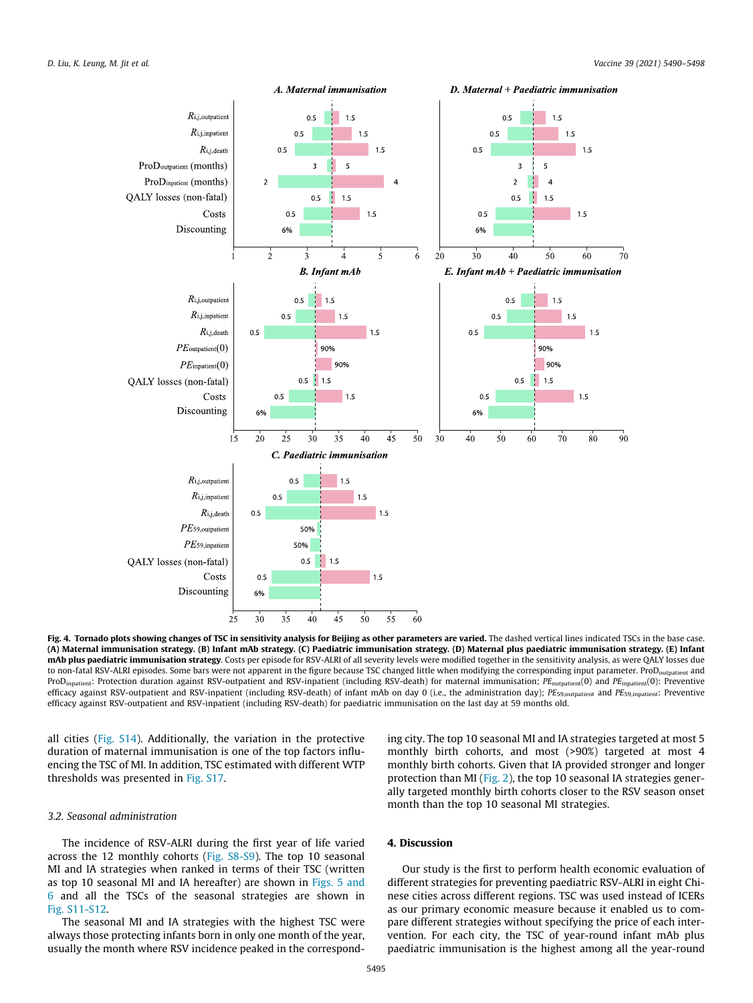<span id="page-5-0"></span>

Fig. 4. Tornado plots showing changes of TSC in sensitivity analysis for Beijing as other parameters are varied. The dashed vertical lines indicated TSCs in the base case. (A) Maternal immunisation strategy. (B) Infant mAb strategy. (C) Paediatric immunisation strategy. (D) Maternal plus paediatric immunisation strategy. (E) Infant mAb plus paediatric immunisation strategy. Costs per episode for RSV-ALRI of all severity levels were modified together in the sensitivity analysis, as were QALY losses due to non-fatal RSV-ALRI episodes. Some bars were not apparent in the figure because TSC changed little when modifying the corresponding input parameter. ProD<sub>outpatient</sub> and ProD<sub>inpatient</sub>: Protection duration against RSV-outpatient and RSV-inpatient (including RSV-death) for maternal immunisation;  $PE_{\text{output}}(0)$  and  $PE_{\text{inpatient}}(0)$ : Preventive efficacy against RSV-outpatient and RSV-inpatient (including RSV-death) of infant mAb on day 0 (i.e., the administration day);  $PE_{59,output}$  and  $PE_{59,input}$ . Preventive efficacy against RSV-outpatient and RSV-inpatient (including RSV-death) for paediatric immunisation on the last day at 59 months old.

all cities (Fig. S14). Additionally, the variation in the protective duration of maternal immunisation is one of the top factors influencing the TSC of MI. In addition, TSC estimated with different WTP thresholds was presented in Fig. S17.

## 3.2. Seasonal administration

The incidence of RSV-ALRI during the first year of life varied across the 12 monthly cohorts (Fig. S8-S9). The top 10 seasonal MI and IA strategies when ranked in terms of their TSC (written as top 10 seasonal MI and IA hereafter) are shown in [Figs. 5 and](#page-6-0) [6](#page-6-0) and all the TSCs of the seasonal strategies are shown in Fig. S11-S12.

The seasonal MI and IA strategies with the highest TSC were always those protecting infants born in only one month of the year, usually the month where RSV incidence peaked in the correspond-

ing city. The top 10 seasonal MI and IA strategies targeted at most 5 monthly birth cohorts, and most (>90%) targeted at most 4 monthly birth cohorts. Given that IA provided stronger and longer protection than MI ([Fig. 2\)](#page-3-0), the top 10 seasonal IA strategies generally targeted monthly birth cohorts closer to the RSV season onset month than the top 10 seasonal MI strategies.

## 4. Discussion

Our study is the first to perform health economic evaluation of different strategies for preventing paediatric RSV-ALRI in eight Chinese cities across different regions. TSC was used instead of ICERs as our primary economic measure because it enabled us to compare different strategies without specifying the price of each intervention. For each city, the TSC of year-round infant mAb plus paediatric immunisation is the highest among all the year-round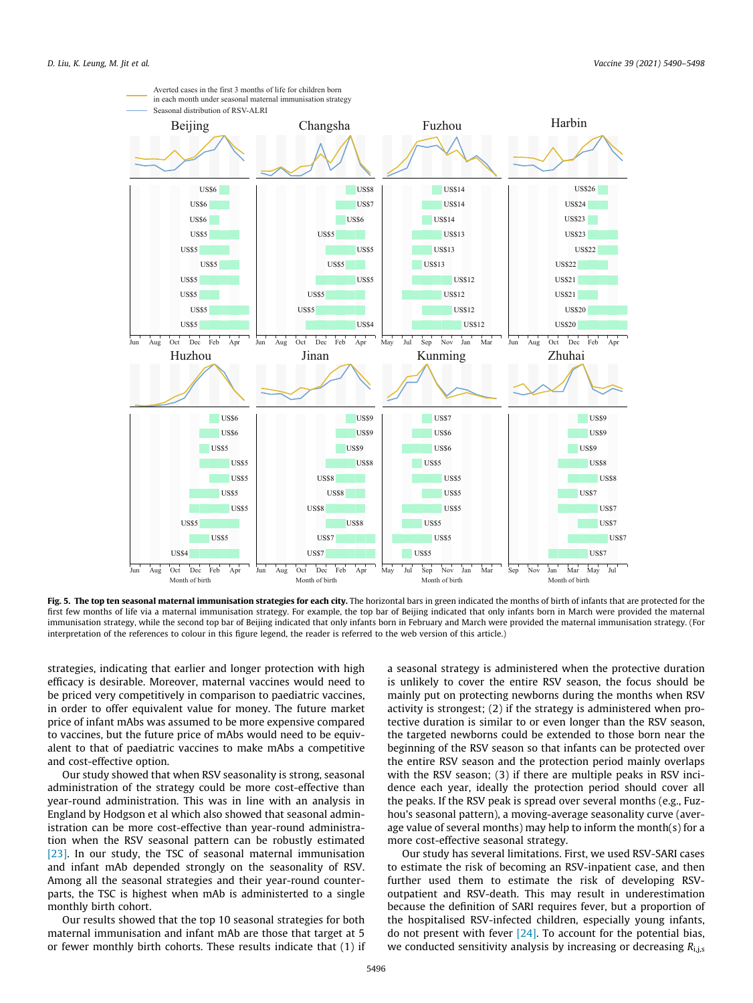<span id="page-6-0"></span>

Fig. 5. The top ten seasonal maternal immunisation strategies for each city. The horizontal bars in green indicated the months of birth of infants that are protected for the first few months of life via a maternal immunisation strategy. For example, the top bar of Beijing indicated that only infants born in March were provided the maternal immunisation strategy, while the second top bar of Beijing indicated that only infants born in February and March were provided the maternal immunisation strategy. (For interpretation of the references to colour in this figure legend, the reader is referred to the web version of this article.)

strategies, indicating that earlier and longer protection with high efficacy is desirable. Moreover, maternal vaccines would need to be priced very competitively in comparison to paediatric vaccines, in order to offer equivalent value for money. The future market price of infant mAbs was assumed to be more expensive compared to vaccines, but the future price of mAbs would need to be equivalent to that of paediatric vaccines to make mAbs a competitive and cost-effective option.

Our study showed that when RSV seasonality is strong, seasonal administration of the strategy could be more cost-effective than year-round administration. This was in line with an analysis in England by Hodgson et al which also showed that seasonal administration can be more cost-effective than year-round administration when the RSV seasonal pattern can be robustly estimated [\[23\]](#page-8-0). In our study, the TSC of seasonal maternal immunisation and infant mAb depended strongly on the seasonality of RSV. Among all the seasonal strategies and their year-round counterparts, the TSC is highest when mAb is administerted to a single monthly birth cohort.

Our results showed that the top 10 seasonal strategies for both maternal immunisation and infant mAb are those that target at 5 or fewer monthly birth cohorts. These results indicate that (1) if a seasonal strategy is administered when the protective duration is unlikely to cover the entire RSV season, the focus should be mainly put on protecting newborns during the months when RSV activity is strongest; (2) if the strategy is administered when protective duration is similar to or even longer than the RSV season, the targeted newborns could be extended to those born near the beginning of the RSV season so that infants can be protected over the entire RSV season and the protection period mainly overlaps with the RSV season; (3) if there are multiple peaks in RSV incidence each year, ideally the protection period should cover all the peaks. If the RSV peak is spread over several months (e.g., Fuzhou's seasonal pattern), a moving-average seasonality curve (average value of several months) may help to inform the month(s) for a more cost-effective seasonal strategy.

Our study has several limitations. First, we used RSV-SARI cases to estimate the risk of becoming an RSV-inpatient case, and then further used them to estimate the risk of developing RSVoutpatient and RSV-death. This may result in underestimation because the definition of SARI requires fever, but a proportion of the hospitalised RSV-infected children, especially young infants, do not present with fever  $[24]$ . To account for the potential bias, we conducted sensitivity analysis by increasing or decreasing  $R_{\text{i.i.s}}$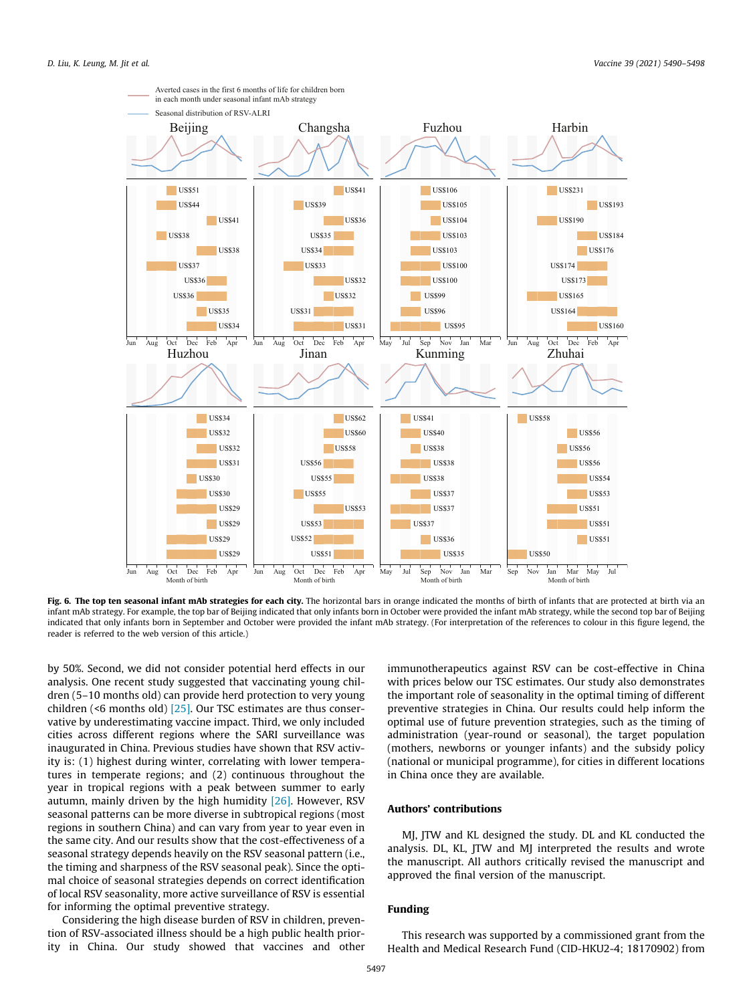

Fig. 6. The top ten seasonal infant mAb strategies for each city. The horizontal bars in orange indicated the months of birth of infants that are protected at birth via an infant mAb strategy. For example, the top bar of Beijing indicated that only infants born in October were provided the infant mAb strategy, while the second top bar of Beijing indicated that only infants born in September and October were provided the infant mAb strategy. (For interpretation of the references to colour in this figure legend, the reader is referred to the web version of this article.)

by 50%. Second, we did not consider potential herd effects in our analysis. One recent study suggested that vaccinating young children (5–10 months old) can provide herd protection to very young children (<6 months old) [\[25\].](#page-8-0) Our TSC estimates are thus conservative by underestimating vaccine impact. Third, we only included cities across different regions where the SARI surveillance was inaugurated in China. Previous studies have shown that RSV activity is: (1) highest during winter, correlating with lower temperatures in temperate regions; and (2) continuous throughout the year in tropical regions with a peak between summer to early autumn, mainly driven by the high humidity  $[26]$ . However, RSV seasonal patterns can be more diverse in subtropical regions (most regions in southern China) and can vary from year to year even in the same city. And our results show that the cost-effectiveness of a seasonal strategy depends heavily on the RSV seasonal pattern (i.e., the timing and sharpness of the RSV seasonal peak). Since the optimal choice of seasonal strategies depends on correct identification of local RSV seasonality, more active surveillance of RSV is essential for informing the optimal preventive strategy.

Considering the high disease burden of RSV in children, prevention of RSV-associated illness should be a high public health priority in China. Our study showed that vaccines and other

immunotherapeutics against RSV can be cost-effective in China with prices below our TSC estimates. Our study also demonstrates the important role of seasonality in the optimal timing of different preventive strategies in China. Our results could help inform the optimal use of future prevention strategies, such as the timing of administration (year-round or seasonal), the target population (mothers, newborns or younger infants) and the subsidy policy (national or municipal programme), for cities in different locations in China once they are available.

## Authors' contributions

MJ, JTW and KL designed the study. DL and KL conducted the analysis. DL, KL, JTW and MJ interpreted the results and wrote the manuscript. All authors critically revised the manuscript and approved the final version of the manuscript.

## Funding

This research was supported by a commissioned grant from the Health and Medical Research Fund (CID-HKU2-4; 18170902) from